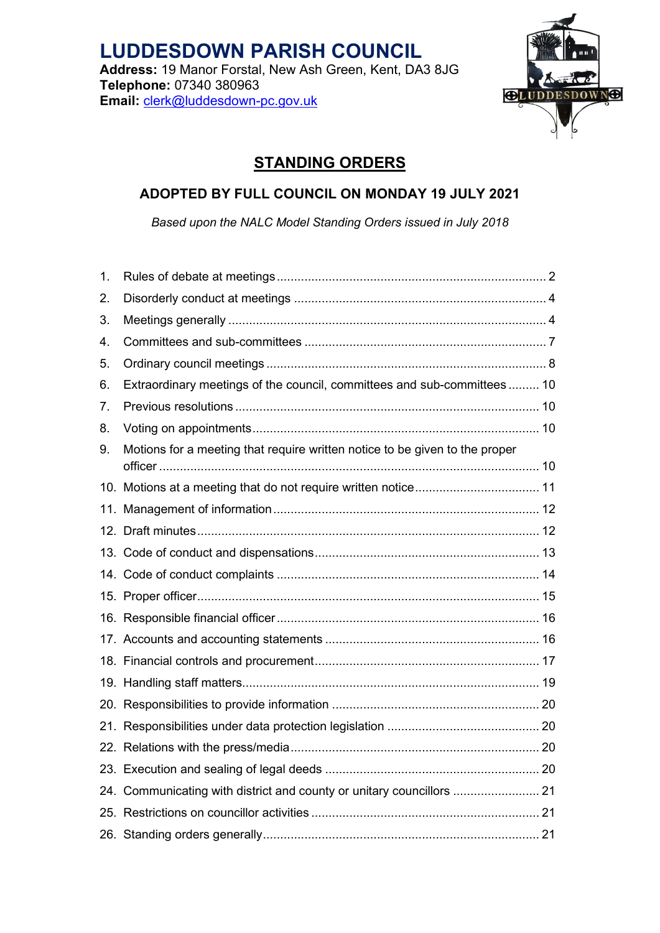

# **STANDING ORDERS**

## **ADOPTED BY FULL COUNCIL ON MONDAY 19 JULY 2021**

*Based upon the NALC Model Standing Orders issued in July 2018*

| 1. |                                                                             |  |
|----|-----------------------------------------------------------------------------|--|
| 2. |                                                                             |  |
| 3. |                                                                             |  |
| 4. |                                                                             |  |
| 5. |                                                                             |  |
| 6. | Extraordinary meetings of the council, committees and sub-committees  10    |  |
| 7. |                                                                             |  |
| 8. |                                                                             |  |
| 9. | Motions for a meeting that require written notice to be given to the proper |  |
|    |                                                                             |  |
|    |                                                                             |  |
|    |                                                                             |  |
|    |                                                                             |  |
|    |                                                                             |  |
|    |                                                                             |  |
|    |                                                                             |  |
|    |                                                                             |  |
|    |                                                                             |  |
|    |                                                                             |  |
|    |                                                                             |  |
|    |                                                                             |  |
|    |                                                                             |  |
|    |                                                                             |  |
|    | 24. Communicating with district and county or unitary councillors  21       |  |
|    |                                                                             |  |
|    |                                                                             |  |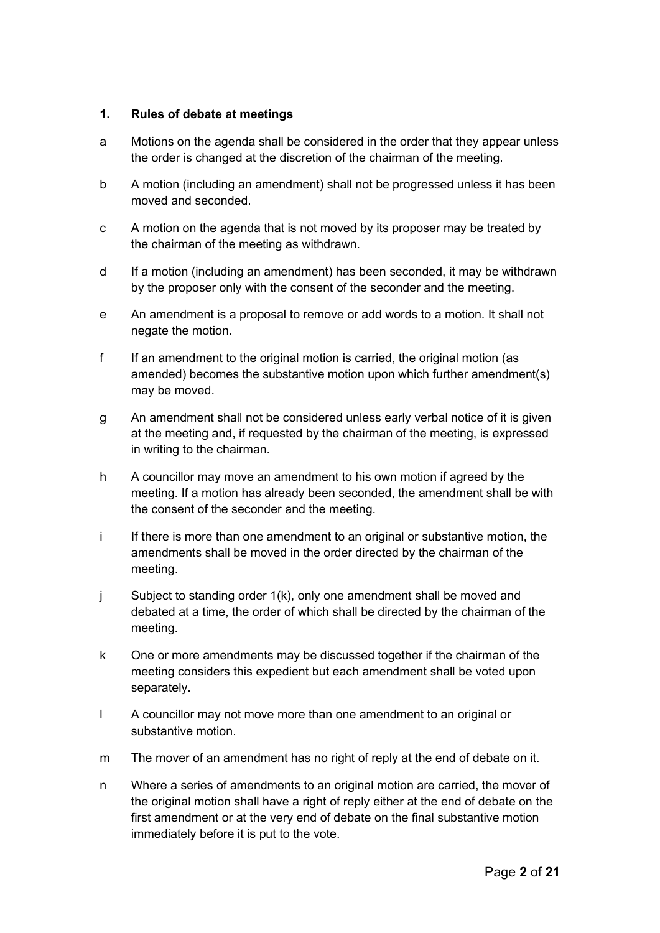#### <span id="page-1-0"></span>**1. Rules of debate at meetings**

- a Motions on the agenda shall be considered in the order that they appear unless the order is changed at the discretion of the chairman of the meeting.
- b A motion (including an amendment) shall not be progressed unless it has been moved and seconded.
- c A motion on the agenda that is not moved by its proposer may be treated by the chairman of the meeting as withdrawn.
- d If a motion (including an amendment) has been seconded, it may be withdrawn by the proposer only with the consent of the seconder and the meeting.
- e An amendment is a proposal to remove or add words to a motion. It shall not negate the motion.
- f If an amendment to the original motion is carried, the original motion (as amended) becomes the substantive motion upon which further amendment(s) may be moved.
- g An amendment shall not be considered unless early verbal notice of it is given at the meeting and, if requested by the chairman of the meeting, is expressed in writing to the chairman.
- h A councillor may move an amendment to his own motion if agreed by the meeting. If a motion has already been seconded, the amendment shall be with the consent of the seconder and the meeting.
- i If there is more than one amendment to an original or substantive motion, the amendments shall be moved in the order directed by the chairman of the meeting.
- j Subject to standing order 1(k), only one amendment shall be moved and debated at a time, the order of which shall be directed by the chairman of the meeting.
- k One or more amendments may be discussed together if the chairman of the meeting considers this expedient but each amendment shall be voted upon separately.
- l A councillor may not move more than one amendment to an original or substantive motion.
- m The mover of an amendment has no right of reply at the end of debate on it.
- n Where a series of amendments to an original motion are carried, the mover of the original motion shall have a right of reply either at the end of debate on the first amendment or at the very end of debate on the final substantive motion immediately before it is put to the vote.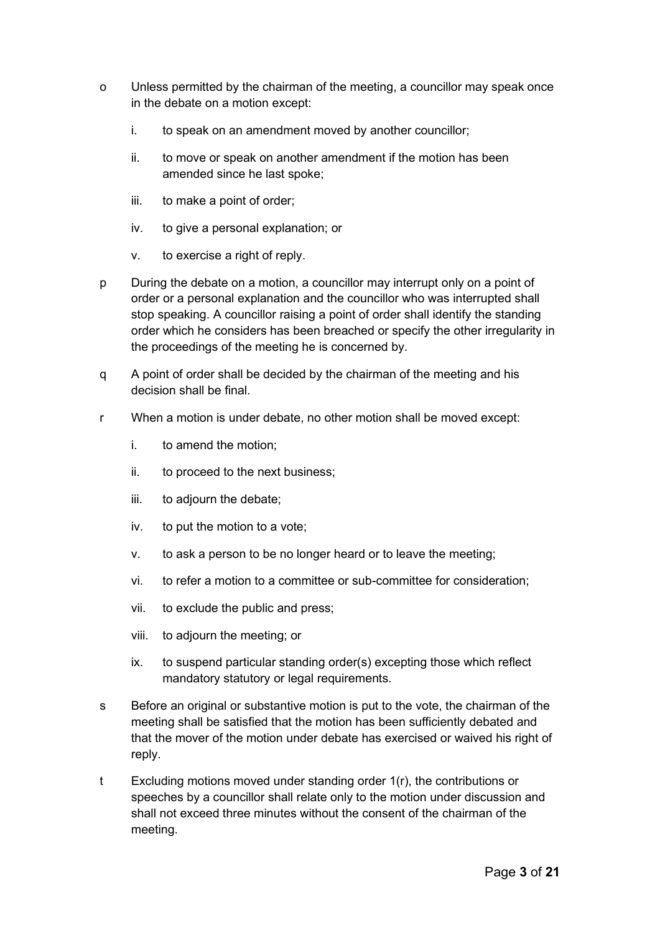- o Unless permitted by the chairman of the meeting, a councillor may speak once in the debate on a motion except:
	- i. to speak on an amendment moved by another councillor;
	- ii. to move or speak on another amendment if the motion has been amended since he last spoke;
	- iii. to make a point of order;
	- iv. to give a personal explanation; or
	- v. to exercise a right of reply.
- p During the debate on a motion, a councillor may interrupt only on a point of order or a personal explanation and the councillor who was interrupted shall stop speaking. A councillor raising a point of order shall identify the standing order which he considers has been breached or specify the other irregularity in the proceedings of the meeting he is concerned by.
- q A point of order shall be decided by the chairman of the meeting and his decision shall be final.
- r When a motion is under debate, no other motion shall be moved except:
	- i. to amend the motion;
	- ii. to proceed to the next business;
	- iii. to adjourn the debate;
	- iv. to put the motion to a vote;
	- v. to ask a person to be no longer heard or to leave the meeting;
	- vi. to refer a motion to a committee or sub-committee for consideration;
	- vii. to exclude the public and press;
	- viii. to adjourn the meeting; or
	- ix. to suspend particular standing order(s) excepting those which reflect mandatory statutory or legal requirements.
- s Before an original or substantive motion is put to the vote, the chairman of the meeting shall be satisfied that the motion has been sufficiently debated and that the mover of the motion under debate has exercised or waived his right of reply.
- t Excluding motions moved under standing order 1(r), the contributions or speeches by a councillor shall relate only to the motion under discussion and shall not exceed three minutes without the consent of the chairman of the meeting.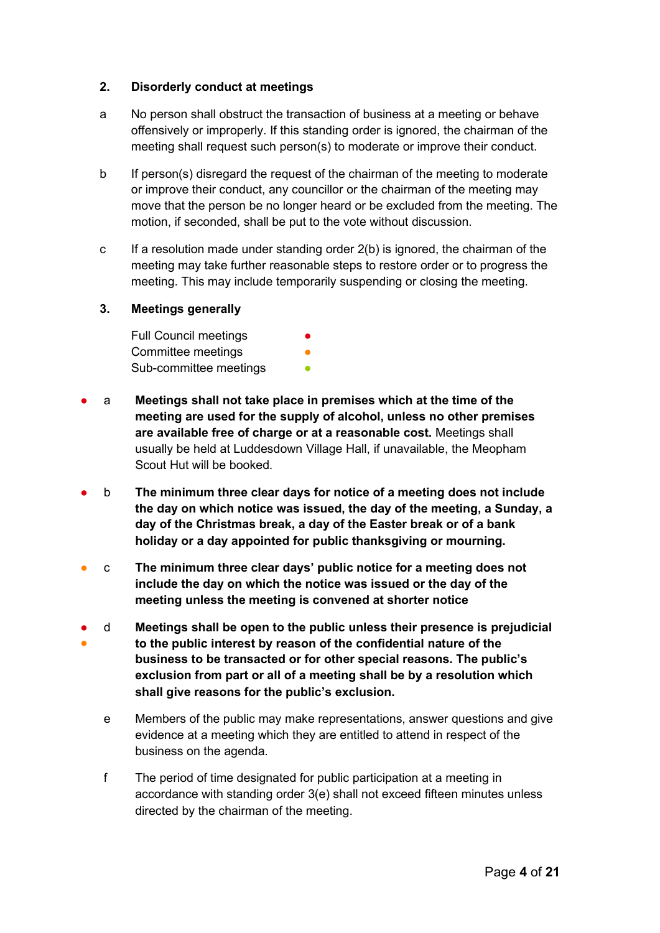#### <span id="page-3-0"></span>**2. Disorderly conduct at meetings**

- a No person shall obstruct the transaction of business at a meeting or behave offensively or improperly. If this standing order is ignored, the chairman of the meeting shall request such person(s) to moderate or improve their conduct.
- b If person(s) disregard the request of the chairman of the meeting to moderate or improve their conduct, any councillor or the chairman of the meeting may move that the person be no longer heard or be excluded from the meeting. The motion, if seconded, shall be put to the vote without discussion.
- c If a resolution made under standing order  $2(b)$  is ignored, the chairman of the meeting may take further reasonable steps to restore order or to progress the meeting. This may include temporarily suspending or closing the meeting.

#### <span id="page-3-1"></span>**3. Meetings generally**

Full Council meetings Committee meetings Sub-committee meetings

- a **Meetings shall not take place in premises which at the time of the meeting are used for the supply of alcohol, unless no other premises are available free of charge or at a reasonable cost.** Meetings shall usually be held at Luddesdown Village Hall, if unavailable, the Meopham Scout Hut will be booked.
- b **The minimum three clear days for notice of a meeting does not include the day on which notice was issued, the day of the meeting, a Sunday, a day of the Christmas break, a day of the Easter break or of a bank holiday or a day appointed for public thanksgiving or mourning.**
- c **The minimum three clear days' public notice for a meeting does not include the day on which the notice was issued or the day of the meeting unless the meeting is convened at shorter notice**
- ● d **Meetings shall be open to the public unless their presence is prejudicial to the public interest by reason of the confidential nature of the business to be transacted or for other special reasons. The public's exclusion from part or all of a meeting shall be by a resolution which shall give reasons for the public's exclusion.**
	- e Members of the public may make representations, answer questions and give evidence at a meeting which they are entitled to attend in respect of the business on the agenda.
	- f The period of time designated for public participation at a meeting in accordance with standing order 3(e) shall not exceed fifteen minutes unless directed by the chairman of the meeting.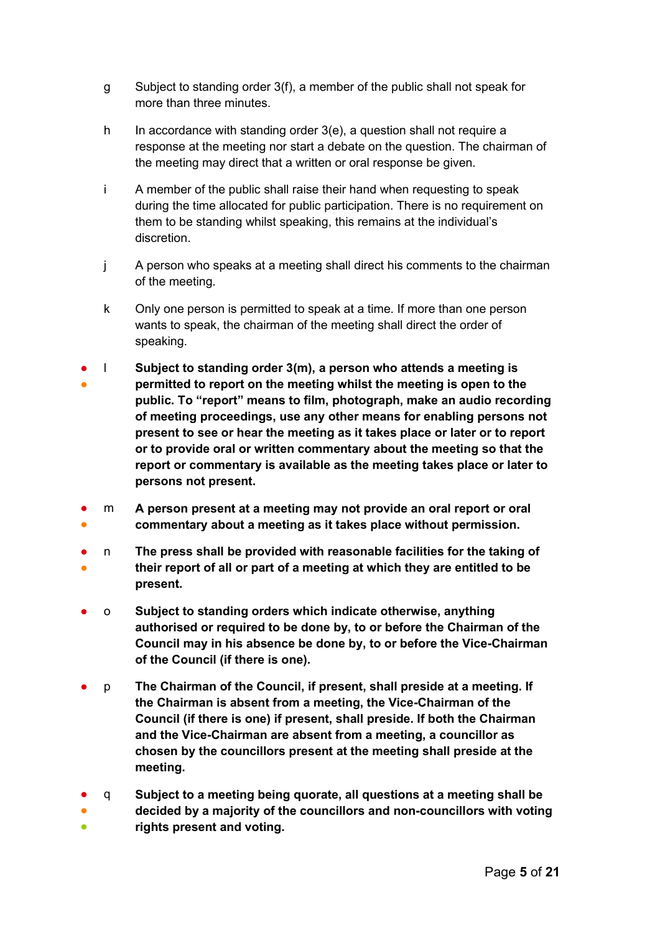- g Subject to standing order 3(f), a member of the public shall not speak for more than three minutes.
- h In accordance with standing order 3(e), a question shall not require a response at the meeting nor start a debate on the question. The chairman of the meeting may direct that a written or oral response be given.
- i A member of the public shall raise their hand when requesting to speak during the time allocated for public participation. There is no requirement on them to be standing whilst speaking, this remains at the individual's discretion.
- j A person who speaks at a meeting shall direct his comments to the chairman of the meeting.
- k Only one person is permitted to speak at a time. If more than one person wants to speak, the chairman of the meeting shall direct the order of speaking.
- ● l **Subject to standing order 3(m), a person who attends a meeting is permitted to report on the meeting whilst the meeting is open to the public. To "report" means to film, photograph, make an audio recording of meeting proceedings, use any other means for enabling persons not present to see or hear the meeting as it takes place or later or to report or to provide oral or written commentary about the meeting so that the report or commentary is available as the meeting takes place or later to persons not present.**
- ● m **A person present at a meeting may not provide an oral report or oral commentary about a meeting as it takes place without permission.**
- ● n **The press shall be provided with reasonable facilities for the taking of their report of all or part of a meeting at which they are entitled to be present.**
- o **Subject to standing orders which indicate otherwise, anything authorised or required to be done by, to or before the Chairman of the Council may in his absence be done by, to or before the Vice-Chairman of the Council (if there is one).**
- p **The Chairman of the Council, if present, shall preside at a meeting. If the Chairman is absent from a meeting, the Vice-Chairman of the Council (if there is one) if present, shall preside. If both the Chairman and the Vice-Chairman are absent from a meeting, a councillor as chosen by the councillors present at the meeting shall preside at the meeting.**
- q **Subject to a meeting being quorate, all questions at a meeting shall be**
- ● **decided by a majority of the councillors and non-councillors with voting rights present and voting.**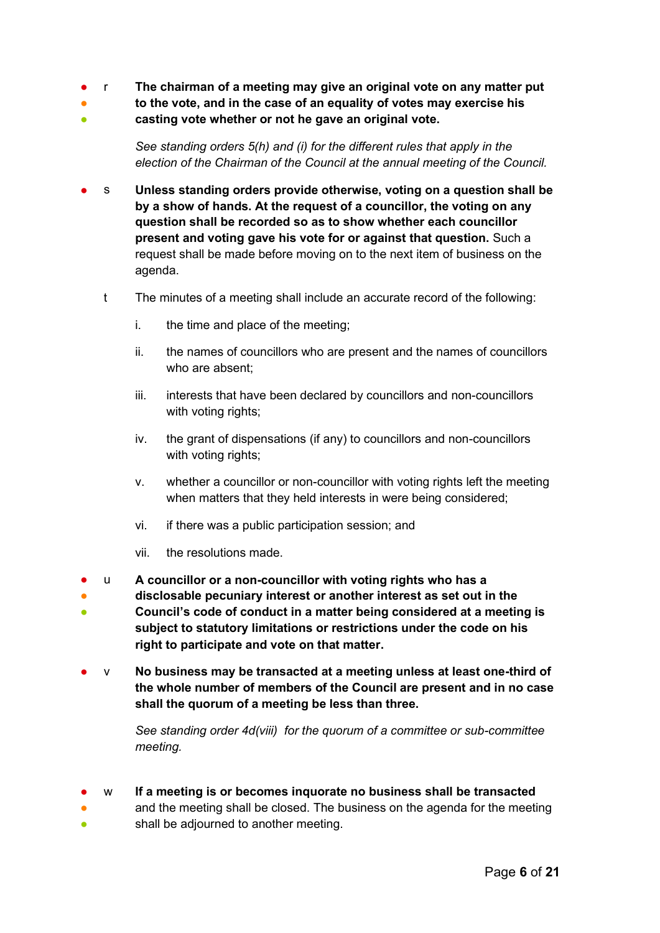- r **The chairman of a meeting may give an original vote on any matter put**
- **to the vote, and in the case of an equality of votes may exercise his**
- **casting vote whether or not he gave an original vote.**

*See standing orders 5(h) and (i) for the different rules that apply in the election of the Chairman of the Council at the annual meeting of the Council.*

- s **Unless standing orders provide otherwise, voting on a question shall be by a show of hands. At the request of a councillor, the voting on any question shall be recorded so as to show whether each councillor present and voting gave his vote for or against that question.** Such a request shall be made before moving on to the next item of business on the agenda.
	- t The minutes of a meeting shall include an accurate record of the following:
		- i. the time and place of the meeting;
		- ii. the names of councillors who are present and the names of councillors who are absent;
		- iii. interests that have been declared by councillors and non-councillors with voting rights;
		- iv. the grant of dispensations (if any) to councillors and non-councillors with voting rights;
		- v. whether a councillor or non-councillor with voting rights left the meeting when matters that they held interests in were being considered;
		- vi. if there was a public participation session; and
		- vii. the resolutions made.

● ●

- u **A councillor or a non-councillor with voting rights who has a**
- ● **disclosable pecuniary interest or another interest as set out in the Council's code of conduct in a matter being considered at a meeting is subject to statutory limitations or restrictions under the code on his right to participate and vote on that matter.**
- v **No business may be transacted at a meeting unless at least one-third of the whole number of members of the Council are present and in no case shall the quorum of a meeting be less than three.**

*See standing order 4d(viii) for the quorum of a committee or sub-committee meeting.* 

● w **If a meeting is or becomes inquorate no business shall be transacted**

and the meeting shall be closed. The business on the agenda for the meeting shall be adjourned to another meeting.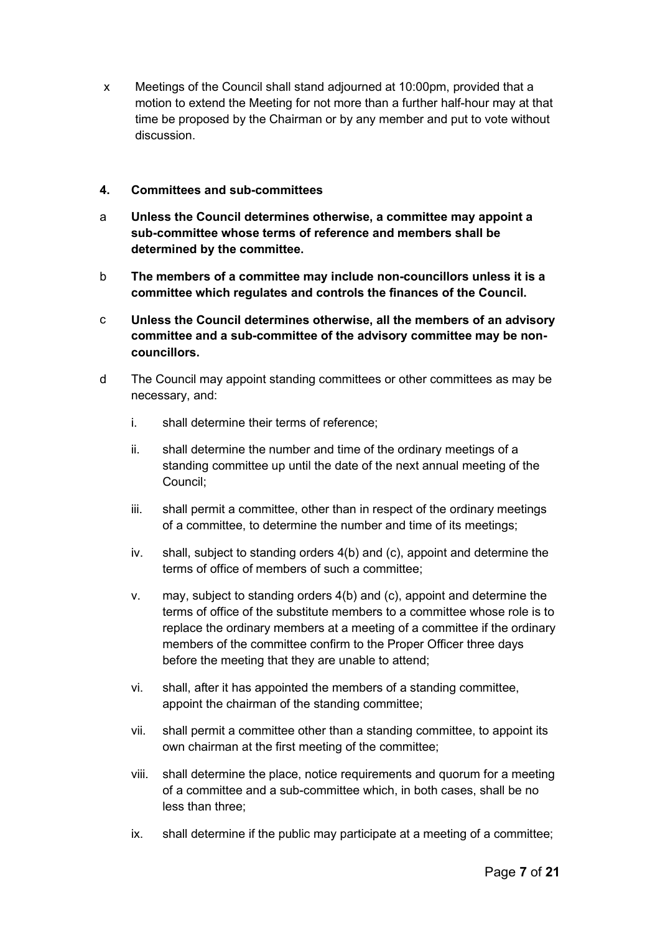x Meetings of the Council shall stand adjourned at 10:00pm, provided that a motion to extend the Meeting for not more than a further half-hour may at that time be proposed by the Chairman or by any member and put to vote without discussion.

#### <span id="page-6-0"></span>**4. Committees and sub-committees**

- a **Unless the Council determines otherwise, a committee may appoint a sub-committee whose terms of reference and members shall be determined by the committee.**
- b **The members of a committee may include non-councillors unless it is a committee which regulates and controls the finances of the Council.**
- c **Unless the Council determines otherwise, all the members of an advisory committee and a sub-committee of the advisory committee may be noncouncillors.**
- d The Council may appoint standing committees or other committees as may be necessary, and:
	- i. shall determine their terms of reference;
	- ii. shall determine the number and time of the ordinary meetings of a standing committee up until the date of the next annual meeting of the Council;
	- iii. shall permit a committee, other than in respect of the ordinary meetings of a committee, to determine the number and time of its meetings;
	- iv. shall, subject to standing orders 4(b) and (c), appoint and determine the terms of office of members of such a committee;
	- v. may, subject to standing orders 4(b) and (c), appoint and determine the terms of office of the substitute members to a committee whose role is to replace the ordinary members at a meeting of a committee if the ordinary members of the committee confirm to the Proper Officer three days before the meeting that they are unable to attend;
	- vi. shall, after it has appointed the members of a standing committee, appoint the chairman of the standing committee;
	- vii. shall permit a committee other than a standing committee, to appoint its own chairman at the first meeting of the committee;
	- viii. shall determine the place, notice requirements and quorum for a meeting of a committee and a sub-committee which, in both cases, shall be no less than three;
	- ix. shall determine if the public may participate at a meeting of a committee;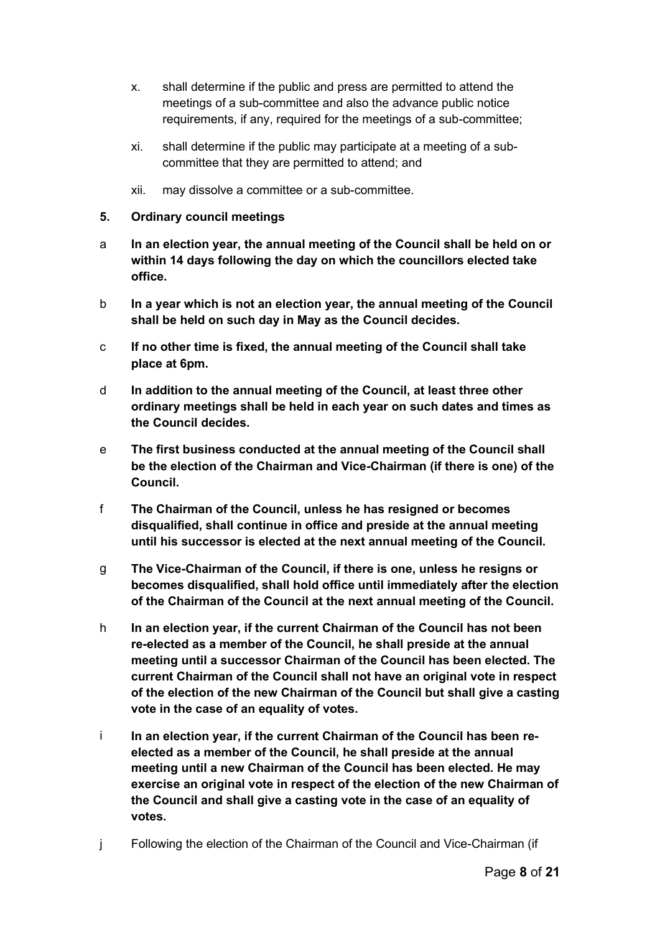- x. shall determine if the public and press are permitted to attend the meetings of a sub-committee and also the advance public notice requirements, if any, required for the meetings of a sub-committee;
- xi. shall determine if the public may participate at a meeting of a subcommittee that they are permitted to attend; and
- xii. may dissolve a committee or a sub-committee.

#### <span id="page-7-0"></span>**5. Ordinary council meetings**

- a **In an election year, the annual meeting of the Council shall be held on or within 14 days following the day on which the councillors elected take office.**
- b **In a year which is not an election year, the annual meeting of the Council shall be held on such day in May as the Council decides.**
- c **If no other time is fixed, the annual meeting of the Council shall take place at 6pm.**
- d **In addition to the annual meeting of the Council, at least three other ordinary meetings shall be held in each year on such dates and times as the Council decides.**
- e **The first business conducted at the annual meeting of the Council shall be the election of the Chairman and Vice-Chairman (if there is one) of the Council.**
- f **The Chairman of the Council, unless he has resigned or becomes disqualified, shall continue in office and preside at the annual meeting until his successor is elected at the next annual meeting of the Council.**
- g **The Vice-Chairman of the Council, if there is one, unless he resigns or becomes disqualified, shall hold office until immediately after the election of the Chairman of the Council at the next annual meeting of the Council.**
- h **In an election year, if the current Chairman of the Council has not been re-elected as a member of the Council, he shall preside at the annual meeting until a successor Chairman of the Council has been elected. The current Chairman of the Council shall not have an original vote in respect of the election of the new Chairman of the Council but shall give a casting vote in the case of an equality of votes.**
- i **In an election year, if the current Chairman of the Council has been reelected as a member of the Council, he shall preside at the annual meeting until a new Chairman of the Council has been elected. He may exercise an original vote in respect of the election of the new Chairman of the Council and shall give a casting vote in the case of an equality of votes.**
- j Following the election of the Chairman of the Council and Vice-Chairman (if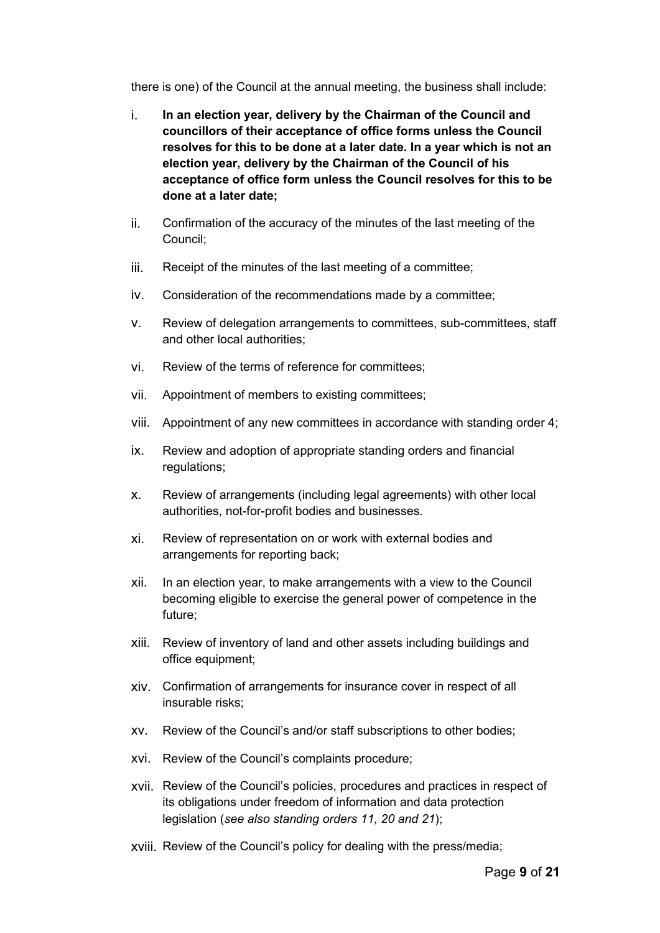there is one) of the Council at the annual meeting, the business shall include:

- i. **In an election year, delivery by the Chairman of the Council and councillors of their acceptance of office forms unless the Council resolves for this to be done at a later date. In a year which is not an election year, delivery by the Chairman of the Council of his acceptance of office form unless the Council resolves for this to be done at a later date;**
- ii. Confirmation of the accuracy of the minutes of the last meeting of the Council;
- iii. Receipt of the minutes of the last meeting of a committee;
- iv. Consideration of the recommendations made by a committee;
- v. Review of delegation arrangements to committees, sub-committees, staff and other local authorities;
- vi. Review of the terms of reference for committees;
- vii. Appointment of members to existing committees;
- viii. Appointment of any new committees in accordance with standing order 4;
- ix. Review and adoption of appropriate standing orders and financial regulations;
- x. Review of arrangements (including legal agreements) with other local authorities, not-for-profit bodies and businesses.
- xi. Review of representation on or work with external bodies and arrangements for reporting back;
- xii. In an election year, to make arrangements with a view to the Council becoming eligible to exercise the general power of competence in the future;
- xiii. Review of inventory of land and other assets including buildings and office equipment;
- xiv. Confirmation of arrangements for insurance cover in respect of all insurable risks;
- xv. Review of the Council's and/or staff subscriptions to other bodies;
- xvi. Review of the Council's complaints procedure;
- xvii. Review of the Council's policies, procedures and practices in respect of its obligations under freedom of information and data protection legislation (*see also standing orders 11, 20 and 21*);
- xviii. Review of the Council's policy for dealing with the press/media;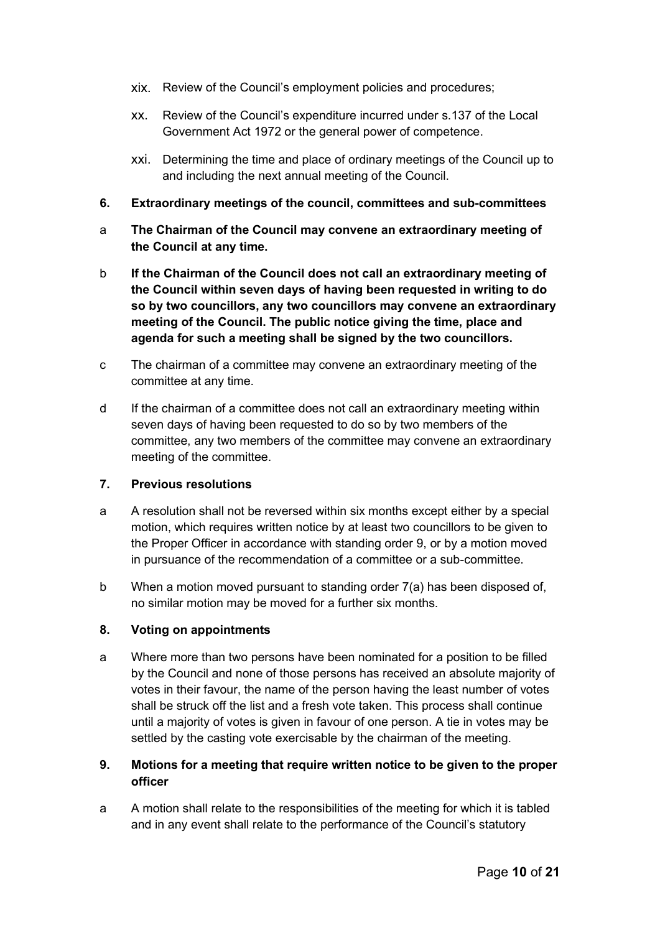- xix. Review of the Council's employment policies and procedures;
- xx. Review of the Council's expenditure incurred under s.137 of the Local Government Act 1972 or the general power of competence.
- xxi. Determining the time and place of ordinary meetings of the Council up to and including the next annual meeting of the Council.
- <span id="page-9-0"></span>**6. Extraordinary meetings of the council, committees and sub-committees**
- a **The Chairman of the Council may convene an extraordinary meeting of the Council at any time.**
- b **If the Chairman of the Council does not call an extraordinary meeting of the Council within seven days of having been requested in writing to do so by two councillors, any two councillors may convene an extraordinary meeting of the Council. The public notice giving the time, place and agenda for such a meeting shall be signed by the two councillors.**
- c The chairman of a committee may convene an extraordinary meeting of the committee at any time.
- d If the chairman of a committee does not call an extraordinary meeting within seven days of having been requested to do so by two members of the committee, any two members of the committee may convene an extraordinary meeting of the committee.

#### <span id="page-9-1"></span>**7. Previous resolutions**

- a A resolution shall not be reversed within six months except either by a special motion, which requires written notice by at least two councillors to be given to the Proper Officer in accordance with standing order 9, or by a motion moved in pursuance of the recommendation of a committee or a sub-committee.
- b When a motion moved pursuant to standing order 7(a) has been disposed of, no similar motion may be moved for a further six months.

## <span id="page-9-2"></span>**8. Voting on appointments**

a Where more than two persons have been nominated for a position to be filled by the Council and none of those persons has received an absolute majority of votes in their favour, the name of the person having the least number of votes shall be struck off the list and a fresh vote taken. This process shall continue until a majority of votes is given in favour of one person. A tie in votes may be settled by the casting vote exercisable by the chairman of the meeting.

## <span id="page-9-3"></span>**9. Motions for a meeting that require written notice to be given to the proper officer**

a A motion shall relate to the responsibilities of the meeting for which it is tabled and in any event shall relate to the performance of the Council's statutory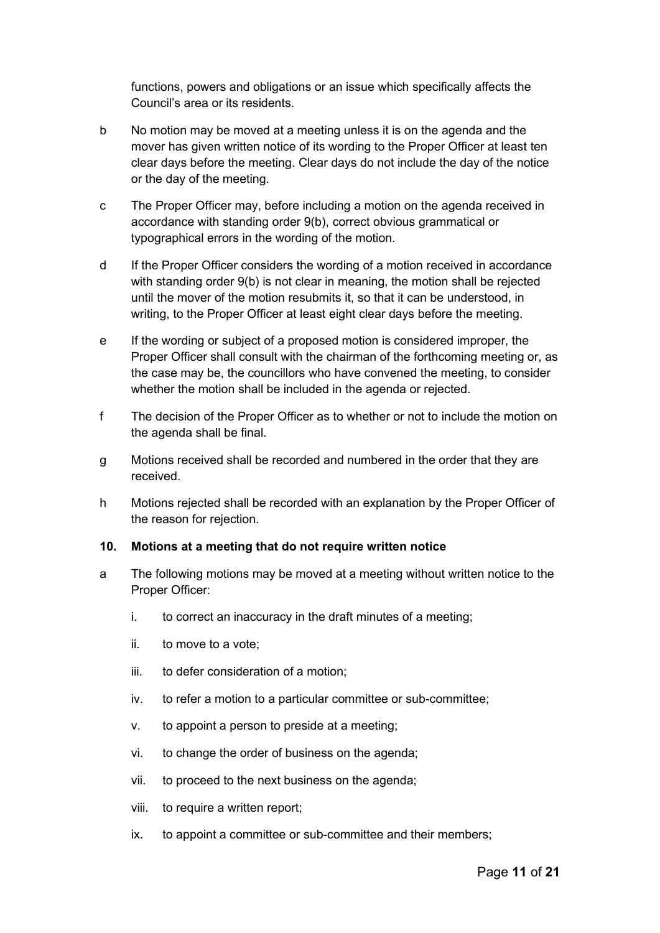functions, powers and obligations or an issue which specifically affects the Council's area or its residents.

- b No motion may be moved at a meeting unless it is on the agenda and the mover has given written notice of its wording to the Proper Officer at least ten clear days before the meeting. Clear days do not include the day of the notice or the day of the meeting.
- c The Proper Officer may, before including a motion on the agenda received in accordance with standing order 9(b), correct obvious grammatical or typographical errors in the wording of the motion.
- d If the Proper Officer considers the wording of a motion received in accordance with standing order 9(b) is not clear in meaning, the motion shall be rejected until the mover of the motion resubmits it, so that it can be understood, in writing, to the Proper Officer at least eight clear days before the meeting.
- e If the wording or subject of a proposed motion is considered improper, the Proper Officer shall consult with the chairman of the forthcoming meeting or, as the case may be, the councillors who have convened the meeting, to consider whether the motion shall be included in the agenda or rejected.
- f The decision of the Proper Officer as to whether or not to include the motion on the agenda shall be final.
- g Motions received shall be recorded and numbered in the order that they are received.
- h Motions rejected shall be recorded with an explanation by the Proper Officer of the reason for rejection.

#### <span id="page-10-0"></span>**10. Motions at a meeting that do not require written notice**

- a The following motions may be moved at a meeting without written notice to the Proper Officer:
	- i. to correct an inaccuracy in the draft minutes of a meeting;
	- ii. to move to a vote;
	- iii. to defer consideration of a motion;
	- iv. to refer a motion to a particular committee or sub-committee;
	- v. to appoint a person to preside at a meeting;
	- vi. to change the order of business on the agenda;
	- vii. to proceed to the next business on the agenda;
	- viii. to require a written report;
	- ix. to appoint a committee or sub-committee and their members;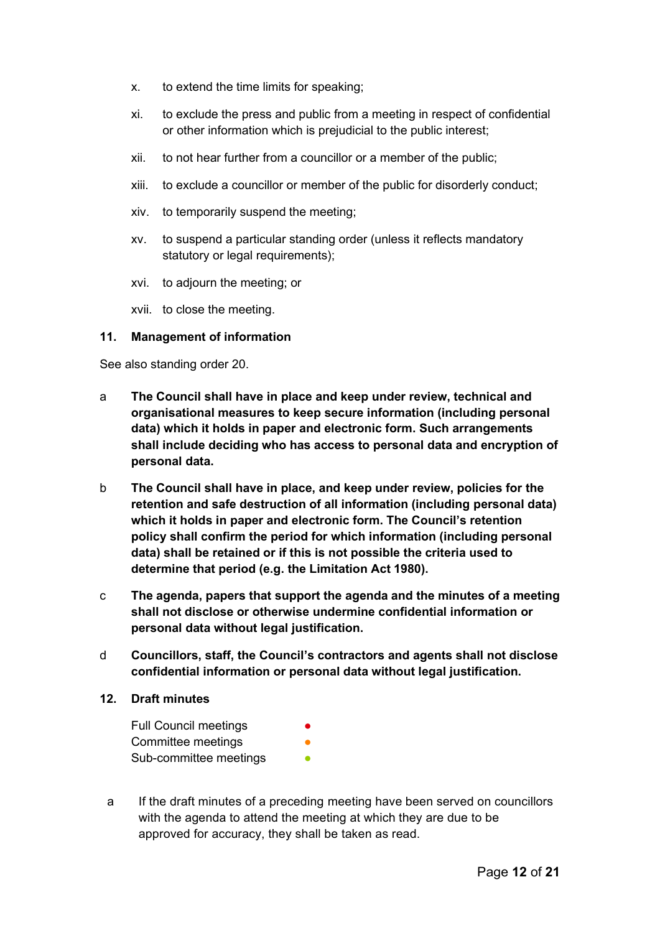- x. to extend the time limits for speaking;
- xi. to exclude the press and public from a meeting in respect of confidential or other information which is prejudicial to the public interest;
- xii. to not hear further from a councillor or a member of the public;
- xiii. to exclude a councillor or member of the public for disorderly conduct;
- xiv. to temporarily suspend the meeting;
- xv. to suspend a particular standing order (unless it reflects mandatory statutory or legal requirements);
- xvi. to adjourn the meeting; or
- xvii. to close the meeting.

#### <span id="page-11-0"></span>**11. Management of information**

See also standing order 20.

- a **The Council shall have in place and keep under review, technical and organisational measures to keep secure information (including personal data) which it holds in paper and electronic form. Such arrangements shall include deciding who has access to personal data and encryption of personal data.**
- b **The Council shall have in place, and keep under review, policies for the retention and safe destruction of all information (including personal data) which it holds in paper and electronic form. The Council's retention policy shall confirm the period for which information (including personal data) shall be retained or if this is not possible the criteria used to determine that period (e.g. the Limitation Act 1980).**
- c **The agenda, papers that support the agenda and the minutes of a meeting shall not disclose or otherwise undermine confidential information or personal data without legal justification.**
- d **Councillors, staff, the Council's contractors and agents shall not disclose confidential information or personal data without legal justification.**

#### <span id="page-11-1"></span>**12. Draft minutes**

| <b>Full Council meetings</b> | $\bullet$ |
|------------------------------|-----------|
| Committee meetings           |           |
| Sub-committee meetings       | ●         |

a If the draft minutes of a preceding meeting have been served on councillors with the agenda to attend the meeting at which they are due to be approved for accuracy, they shall be taken as read.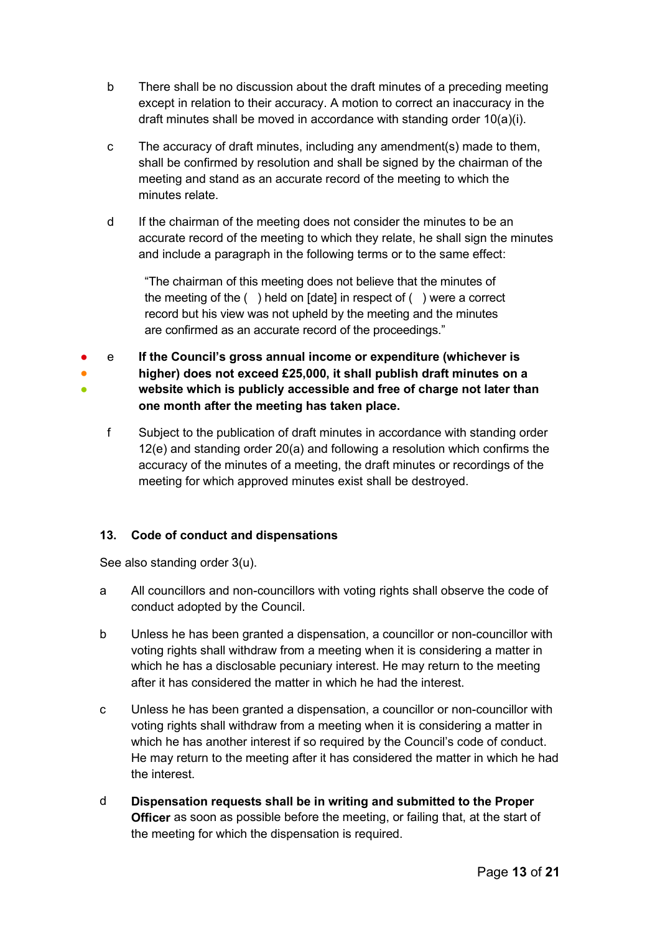- b There shall be no discussion about the draft minutes of a preceding meeting except in relation to their accuracy. A motion to correct an inaccuracy in the draft minutes shall be moved in accordance with standing order 10(a)(i).
- c The accuracy of draft minutes, including any amendment(s) made to them, shall be confirmed by resolution and shall be signed by the chairman of the meeting and stand as an accurate record of the meeting to which the minutes relate.
- d If the chairman of the meeting does not consider the minutes to be an accurate record of the meeting to which they relate, he shall sign the minutes and include a paragraph in the following terms or to the same effect:

"The chairman of this meeting does not believe that the minutes of the meeting of the ( ) held on [date] in respect of ( ) were a correct record but his view was not upheld by the meeting and the minutes are confirmed as an accurate record of the proceedings."

- ● ● e **If the Council's gross annual income or expenditure (whichever is higher) does not exceed £25,000, it shall publish draft minutes on a website which is publicly accessible and free of charge not later than one month after the meeting has taken place.**
	- f Subject to the publication of draft minutes in accordance with standing order 12(e) and standing order 20(a) and following a resolution which confirms the accuracy of the minutes of a meeting, the draft minutes or recordings of the meeting for which approved minutes exist shall be destroyed.

## <span id="page-12-0"></span>**13. Code of conduct and dispensations**

See also standing order 3(u).

- a All councillors and non-councillors with voting rights shall observe the code of conduct adopted by the Council.
- b Unless he has been granted a dispensation, a councillor or non-councillor with voting rights shall withdraw from a meeting when it is considering a matter in which he has a disclosable pecuniary interest. He may return to the meeting after it has considered the matter in which he had the interest.
- c Unless he has been granted a dispensation, a councillor or non-councillor with voting rights shall withdraw from a meeting when it is considering a matter in which he has another interest if so required by the Council's code of conduct. He may return to the meeting after it has considered the matter in which he had the interest.
- d **Dispensation requests shall be in writing and submitted to the Proper Officer** as soon as possible before the meeting, or failing that, at the start of the meeting for which the dispensation is required.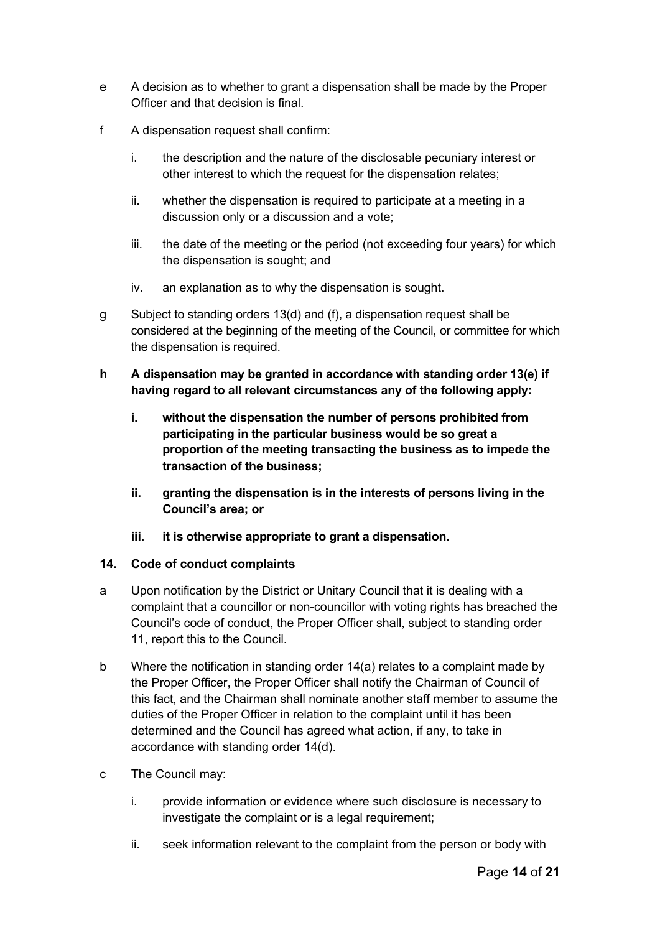- e A decision as to whether to grant a dispensation shall be made by the Proper Officer and that decision is final.
- f A dispensation request shall confirm:
	- i. the description and the nature of the disclosable pecuniary interest or other interest to which the request for the dispensation relates;
	- ii. whether the dispensation is required to participate at a meeting in a discussion only or a discussion and a vote;
	- iii. the date of the meeting or the period (not exceeding four years) for which the dispensation is sought; and
	- iv. an explanation as to why the dispensation is sought.
- g Subject to standing orders 13(d) and (f), a dispensation request shall be considered at the beginning of the meeting of the Council, or committee for which the dispensation is required.
- **h A dispensation may be granted in accordance with standing order 13(e) if having regard to all relevant circumstances any of the following apply:**
	- **i. without the dispensation the number of persons prohibited from participating in the particular business would be so great a proportion of the meeting transacting the business as to impede the transaction of the business;**
	- **ii. granting the dispensation is in the interests of persons living in the Council's area; or**
	- **iii. it is otherwise appropriate to grant a dispensation.**

#### <span id="page-13-0"></span>**14. Code of conduct complaints**

- a Upon notification by the District or Unitary Council that it is dealing with a complaint that a councillor or non-councillor with voting rights has breached the Council's code of conduct, the Proper Officer shall, subject to standing order 11, report this to the Council.
- b Where the notification in standing order 14(a) relates to a complaint made by the Proper Officer, the Proper Officer shall notify the Chairman of Council of this fact, and the Chairman shall nominate another staff member to assume the duties of the Proper Officer in relation to the complaint until it has been determined and the Council has agreed what action, if any, to take in accordance with standing order 14(d).
- c The Council may:
	- i. provide information or evidence where such disclosure is necessary to investigate the complaint or is a legal requirement;
	- ii. seek information relevant to the complaint from the person or body with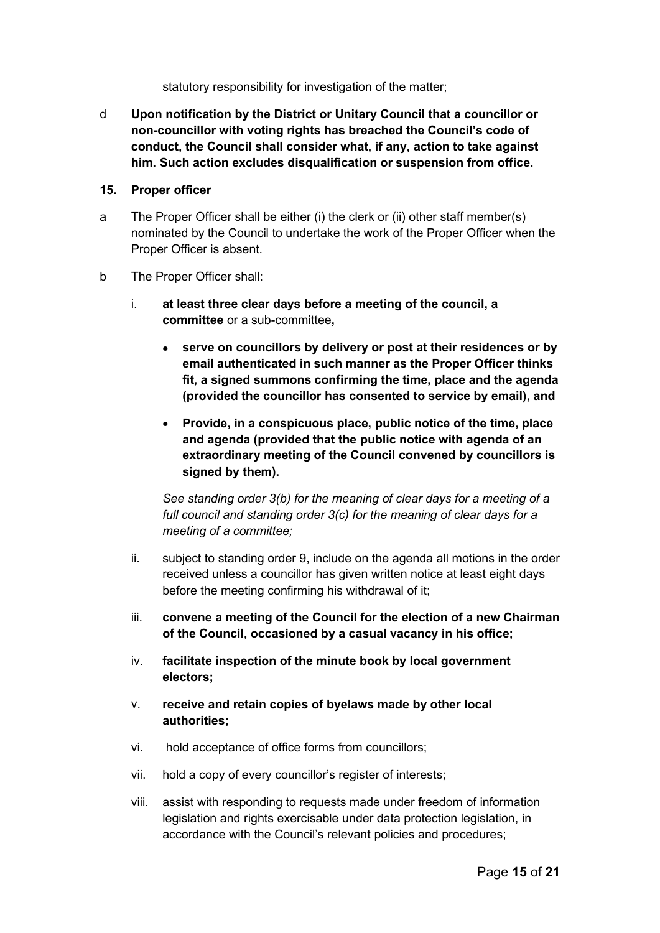statutory responsibility for investigation of the matter;

d **Upon notification by the District or Unitary Council that a councillor or non-councillor with voting rights has breached the Council's code of conduct, the Council shall consider what, if any, action to take against him. Such action excludes disqualification or suspension from office.**

#### <span id="page-14-0"></span>**15. Proper officer**

- a The Proper Officer shall be either (i) the clerk or (ii) other staff member(s) nominated by the Council to undertake the work of the Proper Officer when the Proper Officer is absent.
- b The Proper Officer shall:
	- i. **at least three clear days before a meeting of the council, a committee** or a sub-committee**,**
		- **serve on councillors by delivery or post at their residences or by email authenticated in such manner as the Proper Officer thinks fit, a signed summons confirming the time, place and the agenda (provided the councillor has consented to service by email), and**
		- **Provide, in a conspicuous place, public notice of the time, place and agenda (provided that the public notice with agenda of an extraordinary meeting of the Council convened by councillors is signed by them).**

*See standing order 3(b) for the meaning of clear days for a meeting of a full council and standing order 3(c) for the meaning of clear days for a meeting of a committee;*

- ii. subject to standing order 9, include on the agenda all motions in the order received unless a councillor has given written notice at least eight days before the meeting confirming his withdrawal of it;
- iii. **convene a meeting of the Council for the election of a new Chairman of the Council, occasioned by a casual vacancy in his office;**
- iv. **facilitate inspection of the minute book by local government electors;**
- v. **receive and retain copies of byelaws made by other local authorities;**
- vi. hold acceptance of office forms from councillors;
- vii. hold a copy of every councillor's register of interests;
- viii. assist with responding to requests made under freedom of information legislation and rights exercisable under data protection legislation, in accordance with the Council's relevant policies and procedures;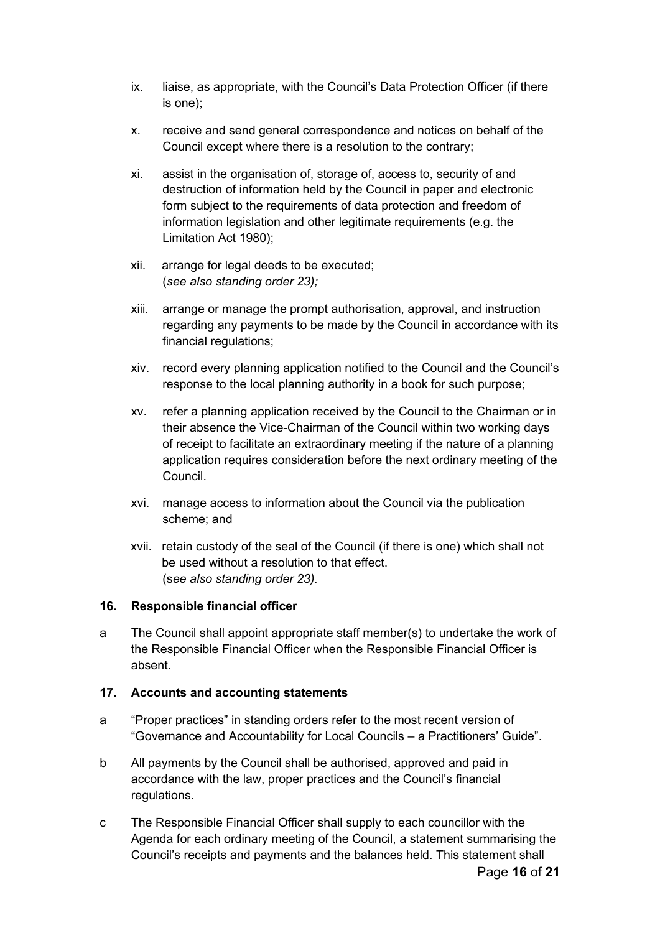- ix. liaise, as appropriate, with the Council's Data Protection Officer (if there is one);
- x. receive and send general correspondence and notices on behalf of the Council except where there is a resolution to the contrary;
- xi. assist in the organisation of, storage of, access to, security of and destruction of information held by the Council in paper and electronic form subject to the requirements of data protection and freedom of information legislation and other legitimate requirements (e.g. the Limitation Act 1980);
- xii. arrange for legal deeds to be executed; (*see also standing order 23);*
- xiii. arrange or manage the prompt authorisation, approval, and instruction regarding any payments to be made by the Council in accordance with its financial regulations;
- xiv. record every planning application notified to the Council and the Council's response to the local planning authority in a book for such purpose;
- xv. refer a planning application received by the Council to the Chairman or in their absence the Vice-Chairman of the Council within two working days of receipt to facilitate an extraordinary meeting if the nature of a planning application requires consideration before the next ordinary meeting of the Council.
- xvi. manage access to information about the Council via the publication scheme; and
- xvii. retain custody of the seal of the Council (if there is one) which shall not be used without a resolution to that effect. (s*ee also standing order 23).*

## <span id="page-15-0"></span>**16. Responsible financial officer**

a The Council shall appoint appropriate staff member(s) to undertake the work of the Responsible Financial Officer when the Responsible Financial Officer is absent.

#### <span id="page-15-1"></span>**17. Accounts and accounting statements**

- a "Proper practices" in standing orders refer to the most recent version of "Governance and Accountability for Local Councils – a Practitioners' Guide".
- b All payments by the Council shall be authorised, approved and paid in accordance with the law, proper practices and the Council's financial regulations.
- c The Responsible Financial Officer shall supply to each councillor with the Agenda for each ordinary meeting of the Council, a statement summarising the Council's receipts and payments and the balances held. This statement shall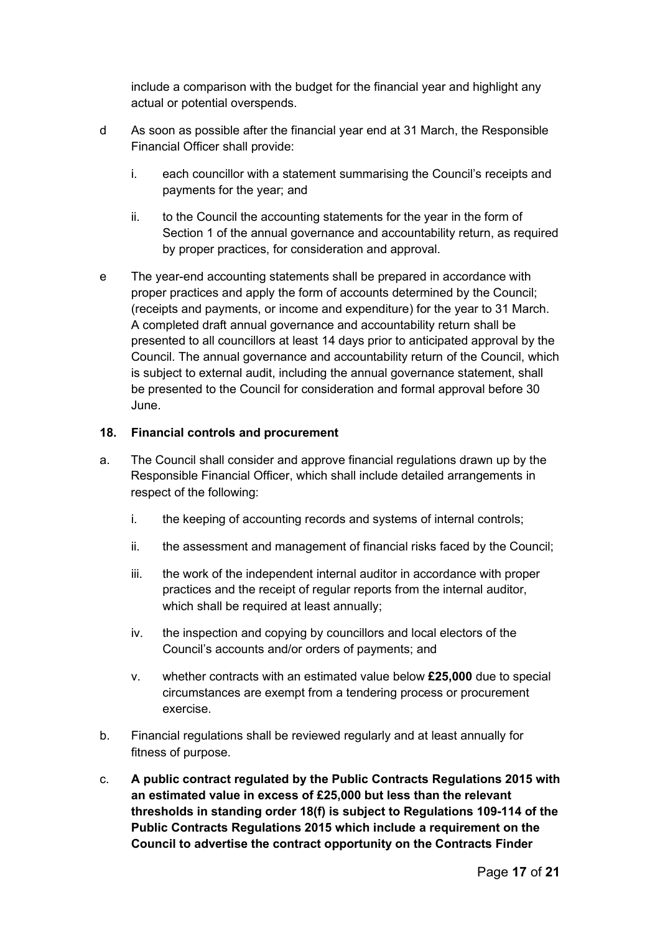include a comparison with the budget for the financial year and highlight any actual or potential overspends.

- d As soon as possible after the financial year end at 31 March, the Responsible Financial Officer shall provide:
	- i. each councillor with a statement summarising the Council's receipts and payments for the year; and
	- ii. to the Council the accounting statements for the year in the form of Section 1 of the annual governance and accountability return, as required by proper practices, for consideration and approval.
- e The year-end accounting statements shall be prepared in accordance with proper practices and apply the form of accounts determined by the Council; (receipts and payments, or income and expenditure) for the year to 31 March. A completed draft annual governance and accountability return shall be presented to all councillors at least 14 days prior to anticipated approval by the Council. The annual governance and accountability return of the Council, which is subject to external audit, including the annual governance statement, shall be presented to the Council for consideration and formal approval before 30 June.

#### <span id="page-16-0"></span>**18. Financial controls and procurement**

- a. The Council shall consider and approve financial regulations drawn up by the Responsible Financial Officer, which shall include detailed arrangements in respect of the following:
	- i. the keeping of accounting records and systems of internal controls;
	- ii. the assessment and management of financial risks faced by the Council;
	- iii. the work of the independent internal auditor in accordance with proper practices and the receipt of regular reports from the internal auditor, which shall be required at least annually;
	- iv. the inspection and copying by councillors and local electors of the Council's accounts and/or orders of payments; and
	- v. whether contracts with an estimated value below **£25,000** due to special circumstances are exempt from a tendering process or procurement exercise.
- b. Financial regulations shall be reviewed regularly and at least annually for fitness of purpose.
- c. **A public contract regulated by the Public Contracts Regulations 2015 with an estimated value in excess of £25,000 but less than the relevant thresholds in standing order 18(f) is subject to Regulations 109-114 of the Public Contracts Regulations 2015 which include a requirement on the Council to advertise the contract opportunity on the Contracts Finder**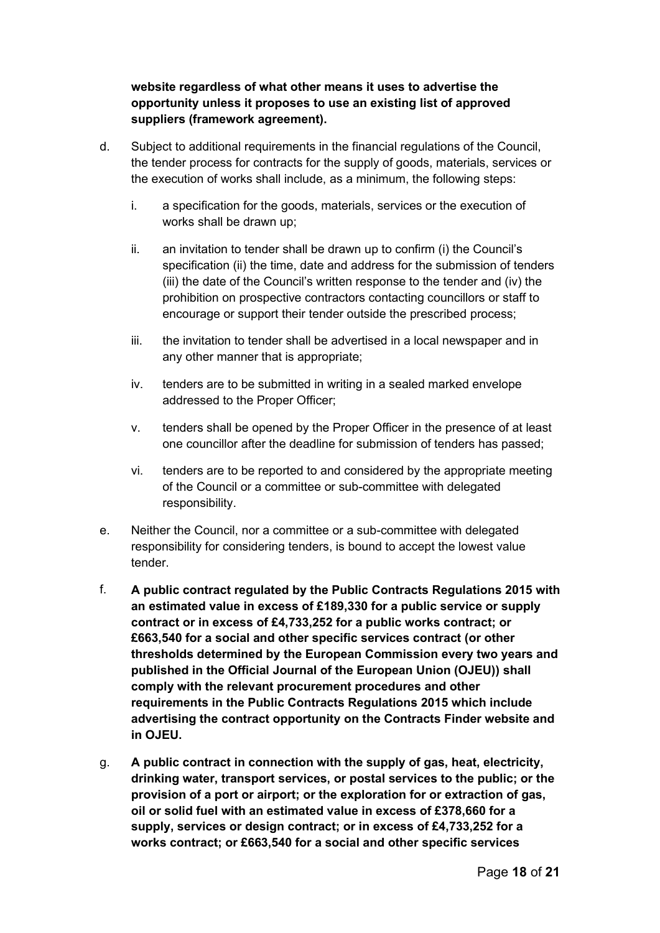## **website regardless of what other means it uses to advertise the opportunity unless it proposes to use an existing list of approved suppliers (framework agreement).**

- d. Subject to additional requirements in the financial regulations of the Council, the tender process for contracts for the supply of goods, materials, services or the execution of works shall include, as a minimum, the following steps:
	- i. a specification for the goods, materials, services or the execution of works shall be drawn up;
	- ii. an invitation to tender shall be drawn up to confirm (i) the Council's specification (ii) the time, date and address for the submission of tenders (iii) the date of the Council's written response to the tender and (iv) the prohibition on prospective contractors contacting councillors or staff to encourage or support their tender outside the prescribed process;
	- iii. the invitation to tender shall be advertised in a local newspaper and in any other manner that is appropriate;
	- iv. tenders are to be submitted in writing in a sealed marked envelope addressed to the Proper Officer;
	- v. tenders shall be opened by the Proper Officer in the presence of at least one councillor after the deadline for submission of tenders has passed;
	- vi. tenders are to be reported to and considered by the appropriate meeting of the Council or a committee or sub-committee with delegated responsibility.
- e. Neither the Council, nor a committee or a sub-committee with delegated responsibility for considering tenders, is bound to accept the lowest value tender.
- f. **A public contract regulated by the Public Contracts Regulations 2015 with an estimated value in excess of £189,330 for a public service or supply contract or in excess of £4,733,252 for a public works contract; or £663,540 for a social and other specific services contract (or other thresholds determined by the European Commission every two years and published in the Official Journal of the European Union (OJEU)) shall comply with the relevant procurement procedures and other requirements in the Public Contracts Regulations 2015 which include advertising the contract opportunity on the Contracts Finder website and in OJEU.**
- g. **A public contract in connection with the supply of gas, heat, electricity, drinking water, transport services, or postal services to the public; or the provision of a port or airport; or the exploration for or extraction of gas, oil or solid fuel with an estimated value in excess of £378,660 for a supply, services or design contract; or in excess of £4,733,252 for a works contract; or £663,540 for a social and other specific services**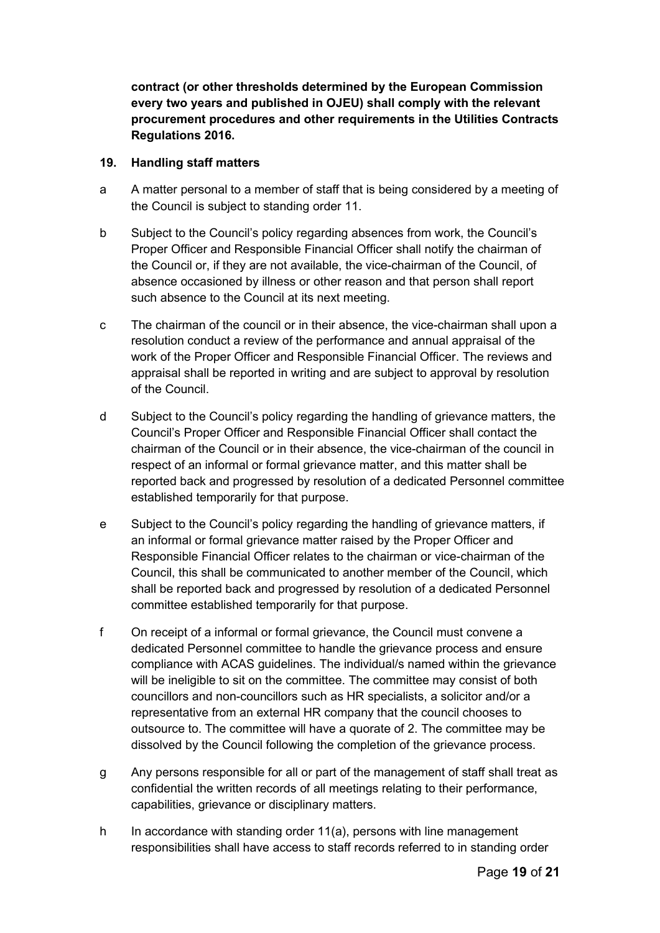**contract (or other thresholds determined by the European Commission every two years and published in OJEU) shall comply with the relevant procurement procedures and other requirements in the Utilities Contracts Regulations 2016.**

#### <span id="page-18-0"></span>**19. Handling staff matters**

- a A matter personal to a member of staff that is being considered by a meeting of the Council is subject to standing order 11.
- b Subject to the Council's policy regarding absences from work, the Council's Proper Officer and Responsible Financial Officer shall notify the chairman of the Council or, if they are not available, the vice-chairman of the Council, of absence occasioned by illness or other reason and that person shall report such absence to the Council at its next meeting.
- c The chairman of the council or in their absence, the vice-chairman shall upon a resolution conduct a review of the performance and annual appraisal of the work of the Proper Officer and Responsible Financial Officer. The reviews and appraisal shall be reported in writing and are subject to approval by resolution of the Council.
- d Subject to the Council's policy regarding the handling of grievance matters, the Council's Proper Officer and Responsible Financial Officer shall contact the chairman of the Council or in their absence, the vice-chairman of the council in respect of an informal or formal grievance matter, and this matter shall be reported back and progressed by resolution of a dedicated Personnel committee established temporarily for that purpose.
- e Subject to the Council's policy regarding the handling of grievance matters, if an informal or formal grievance matter raised by the Proper Officer and Responsible Financial Officer relates to the chairman or vice-chairman of the Council, this shall be communicated to another member of the Council, which shall be reported back and progressed by resolution of a dedicated Personnel committee established temporarily for that purpose.
- f On receipt of a informal or formal grievance, the Council must convene a dedicated Personnel committee to handle the grievance process and ensure compliance with ACAS guidelines. The individual/s named within the grievance will be ineligible to sit on the committee. The committee may consist of both councillors and non-councillors such as HR specialists, a solicitor and/or a representative from an external HR company that the council chooses to outsource to. The committee will have a quorate of 2. The committee may be dissolved by the Council following the completion of the grievance process.
- g Any persons responsible for all or part of the management of staff shall treat as confidential the written records of all meetings relating to their performance, capabilities, grievance or disciplinary matters.
- h In accordance with standing order 11(a), persons with line management responsibilities shall have access to staff records referred to in standing order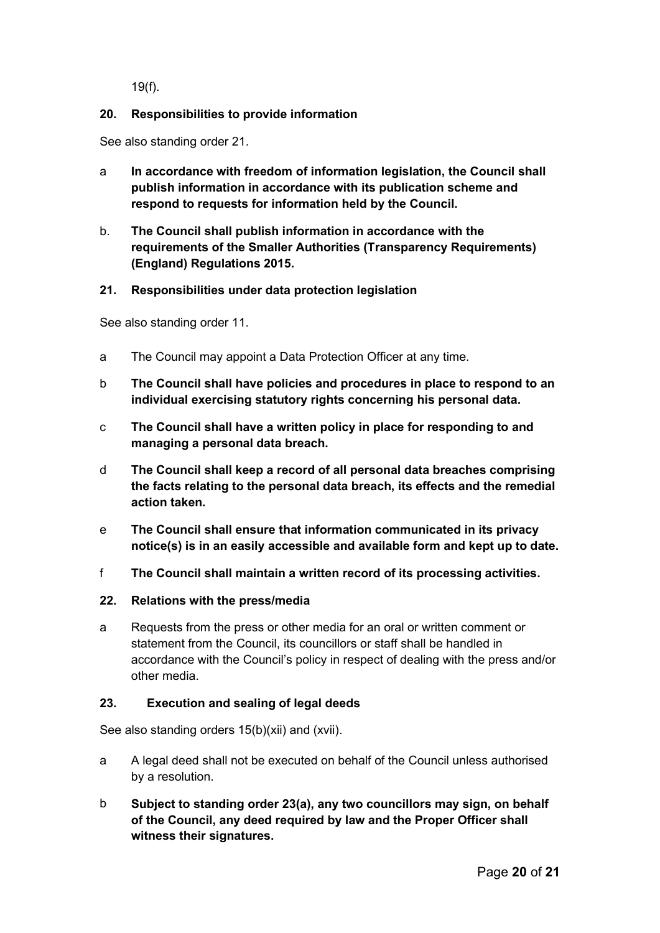19(f).

## <span id="page-19-0"></span>**20. Responsibilities to provide information**

See also standing order 21.

- a **In accordance with freedom of information legislation, the Council shall publish information in accordance with its publication scheme and respond to requests for information held by the Council.**
- b. **The Council shall publish information in accordance with the requirements of the Smaller Authorities (Transparency Requirements) (England) Regulations 2015.**

## <span id="page-19-1"></span>**21. Responsibilities under data protection legislation**

See also standing order 11.

- a The Council may appoint a Data Protection Officer at any time.
- b **The Council shall have policies and procedures in place to respond to an individual exercising statutory rights concerning his personal data.**
- c **The Council shall have a written policy in place for responding to and managing a personal data breach.**
- d **The Council shall keep a record of all personal data breaches comprising the facts relating to the personal data breach, its effects and the remedial action taken.**
- e **The Council shall ensure that information communicated in its privacy notice(s) is in an easily accessible and available form and kept up to date.**
- f **The Council shall maintain a written record of its processing activities.**
- <span id="page-19-2"></span>**22. Relations with the press/media**
- a Requests from the press or other media for an oral or written comment or statement from the Council, its councillors or staff shall be handled in accordance with the Council's policy in respect of dealing with the press and/or other media.

## <span id="page-19-3"></span>**23. Execution and sealing of legal deeds**

See also standing orders 15(b)(xii) and (xvii).

- a A legal deed shall not be executed on behalf of the Council unless authorised by a resolution.
- b **Subject to standing order 23(a), any two councillors may sign, on behalf of the Council, any deed required by law and the Proper Officer shall witness their signatures.**